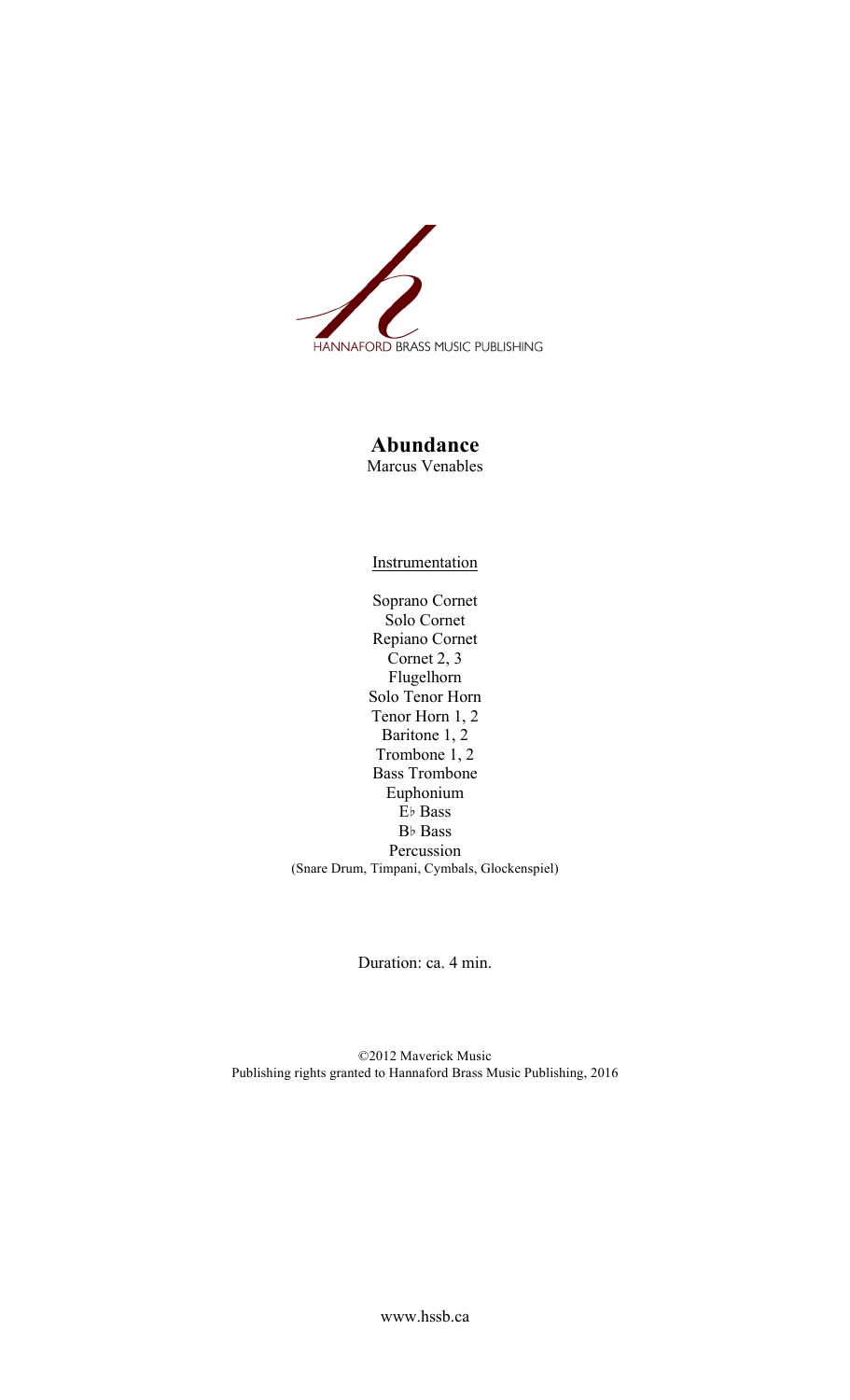

## **Abundance** Marcus Venables

**Instrumentation** 

Soprano Cornet Solo Cornet Repiano Cornet Cornet 2, 3 Flugelhorn Solo Tenor Horn Tenor Horn 1, 2 Baritone 1, 2 Trombone 1, 2 Bass Trombone Euphonium E♭ Bass B♭ Bass Percussion (Snare Drum, Timpani, Cymbals, Glockenspiel)

Duration: ca. 4 min.

©2012 Maverick Music Publishing rights granted to Hannaford Brass Music Publishing, 2016